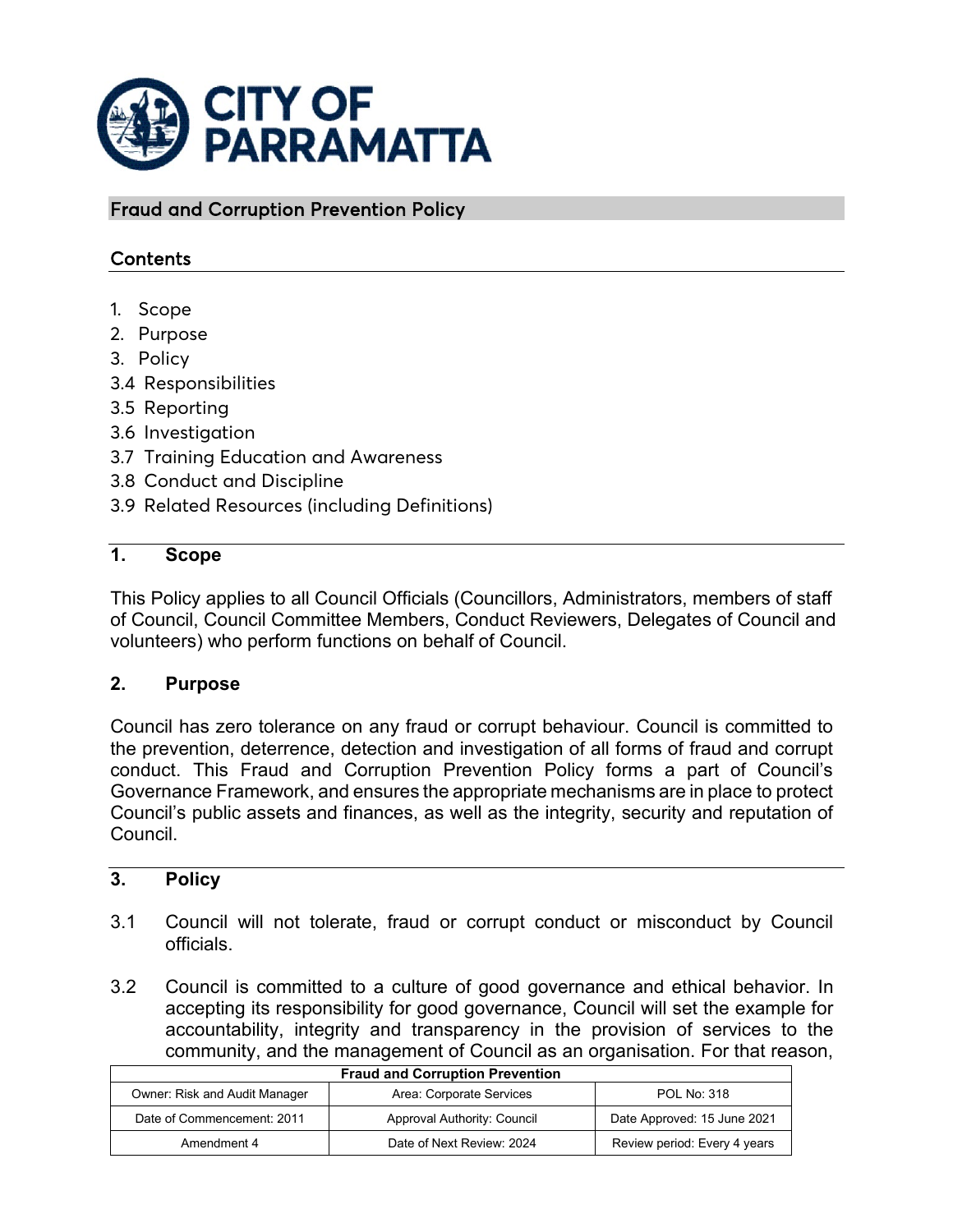

Fraud and Corruption Prevention Policy

# Contents

- 1. Scope
- 2. Purpose
- 3. Policy
- 3.4 Responsibilities
- 3.5 Reporting
- 3.6 Investigation
- 3.7 Training Education and Awareness
- 3.8 Conduct and Discipline
- 3.9 Related Resources (including Definitions)

# **1. Scope**

This Policy applies to all Council Officials (Councillors, Administrators, members of staff of Council, Council Committee Members, Conduct Reviewers, Delegates of Council and volunteers) who perform functions on behalf of Council.

### **2. Purpose**

Council has zero tolerance on any fraud or corrupt behaviour. Council is committed to the prevention, deterrence, detection and investigation of all forms of fraud and corrupt conduct. This Fraud and Corruption Prevention Policy forms a part of Council's Governance Framework, and ensures the appropriate mechanisms are in place to protect Council's public assets and finances, as well as the integrity, security and reputation of Council.

### **3. Policy**

- 3.1 Council will not tolerate, fraud or corrupt conduct or misconduct by Council officials.
- 3.2 Council is committed to a culture of good governance and ethical behavior. In accepting its responsibility for good governance, Council will set the example for accountability, integrity and transparency in the provision of services to the community, and the management of Council as an organisation. For that reason,

| <b>Fraud and Corruption Prevention</b> |                             |                              |
|----------------------------------------|-----------------------------|------------------------------|
| Owner: Risk and Audit Manager          | Area: Corporate Services    | POL No: 318                  |
| Date of Commencement: 2011             | Approval Authority: Council | Date Approved: 15 June 2021  |
| Amendment 4                            | Date of Next Review: 2024   | Review period: Every 4 years |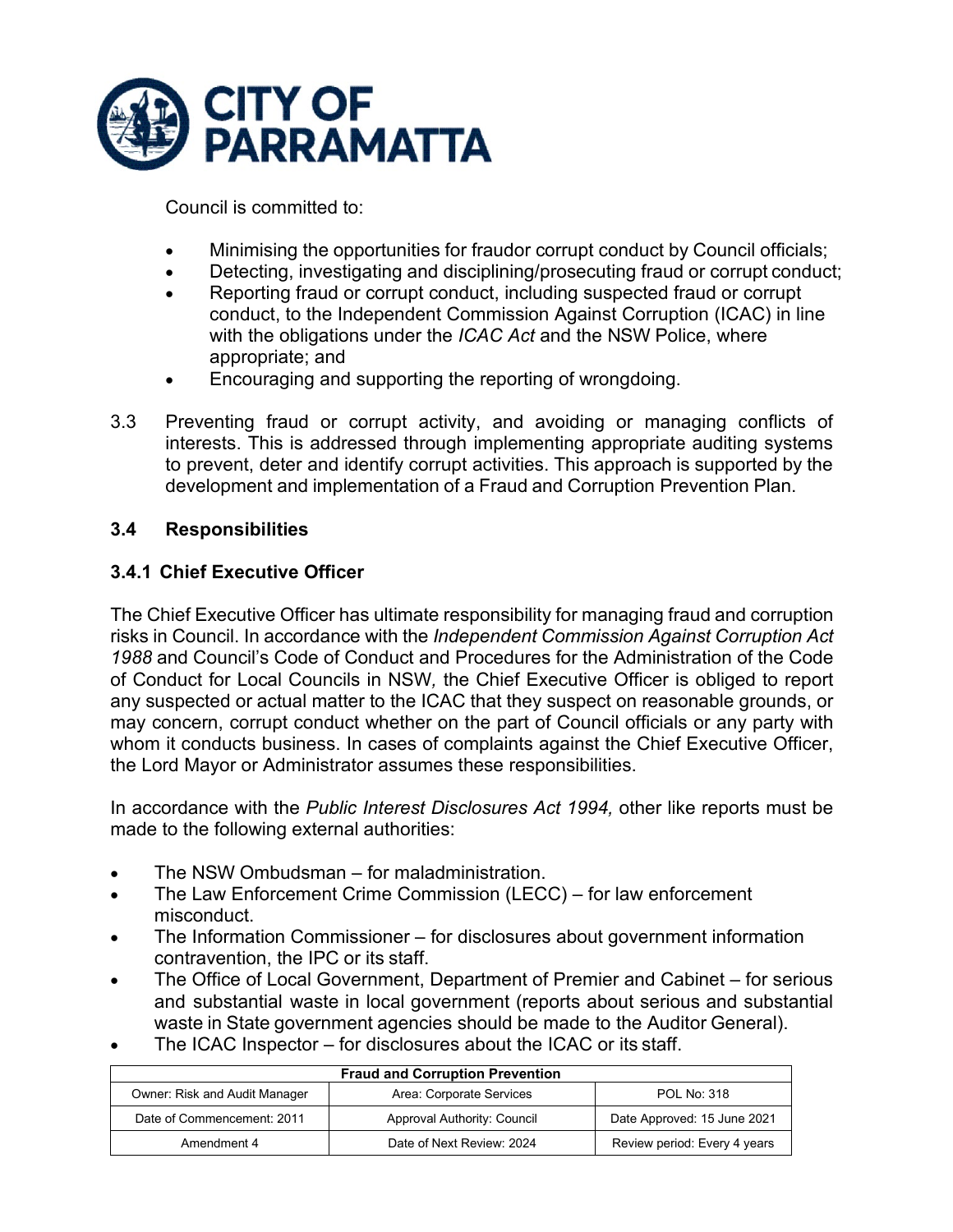

Council is committed to:

- Minimising the opportunities for fraudor corrupt conduct by Council officials;
- Detecting, investigating and disciplining/prosecuting fraud or corrupt conduct;
- Reporting fraud or corrupt conduct, including suspected fraud or corrupt conduct, to the Independent Commission Against Corruption (ICAC) in line with the obligations under the *ICAC Act* and the NSW Police, where appropriate; and
- Encouraging and supporting the reporting of wrongdoing.
- 3.3 Preventing fraud or corrupt activity, and avoiding or managing conflicts of interests. This is addressed through implementing appropriate auditing systems to prevent, deter and identify corrupt activities. This approach is supported by the development and implementation of a Fraud and Corruption Prevention Plan.

### **3.4 Responsibilities**

### **3.4.1 Chief Executive Officer**

The Chief Executive Officer has ultimate responsibility for managing fraud and corruption risks in Council. In accordance with the *Independent Commission Against Corruption Act 1988* and Council's Code of Conduct and Procedures for the Administration of the Code of Conduct for Local Councils in NSW*,* the Chief Executive Officer is obliged to report any suspected or actual matter to the ICAC that they suspect on reasonable grounds, or may concern, corrupt conduct whether on the part of Council officials or any party with whom it conducts business. In cases of complaints against the Chief Executive Officer, the Lord Mayor or Administrator assumes these responsibilities.

In accordance with the *Public Interest Disclosures Act 1994,* other like reports must be made to the following external authorities:

- The NSW Ombudsman for maladministration.
- The Law Enforcement Crime Commission (LECC) for law enforcement misconduct.
- The Information Commissioner for disclosures about government information contravention, the IPC or its staff.
- The Office of Local Government, Department of Premier and Cabinet for serious and substantial waste in local government (reports about serious and substantial waste in State government agencies should be made to the Auditor General).
- The ICAC Inspector for disclosures about the ICAC or its staff.

| <b>Fraud and Corruption Prevention</b> |                             |                              |
|----------------------------------------|-----------------------------|------------------------------|
| Owner: Risk and Audit Manager          | Area: Corporate Services    | <b>POL No: 318</b>           |
| Date of Commencement: 2011             | Approval Authority: Council | Date Approved: 15 June 2021  |
| Amendment 4                            | Date of Next Review: 2024   | Review period: Every 4 years |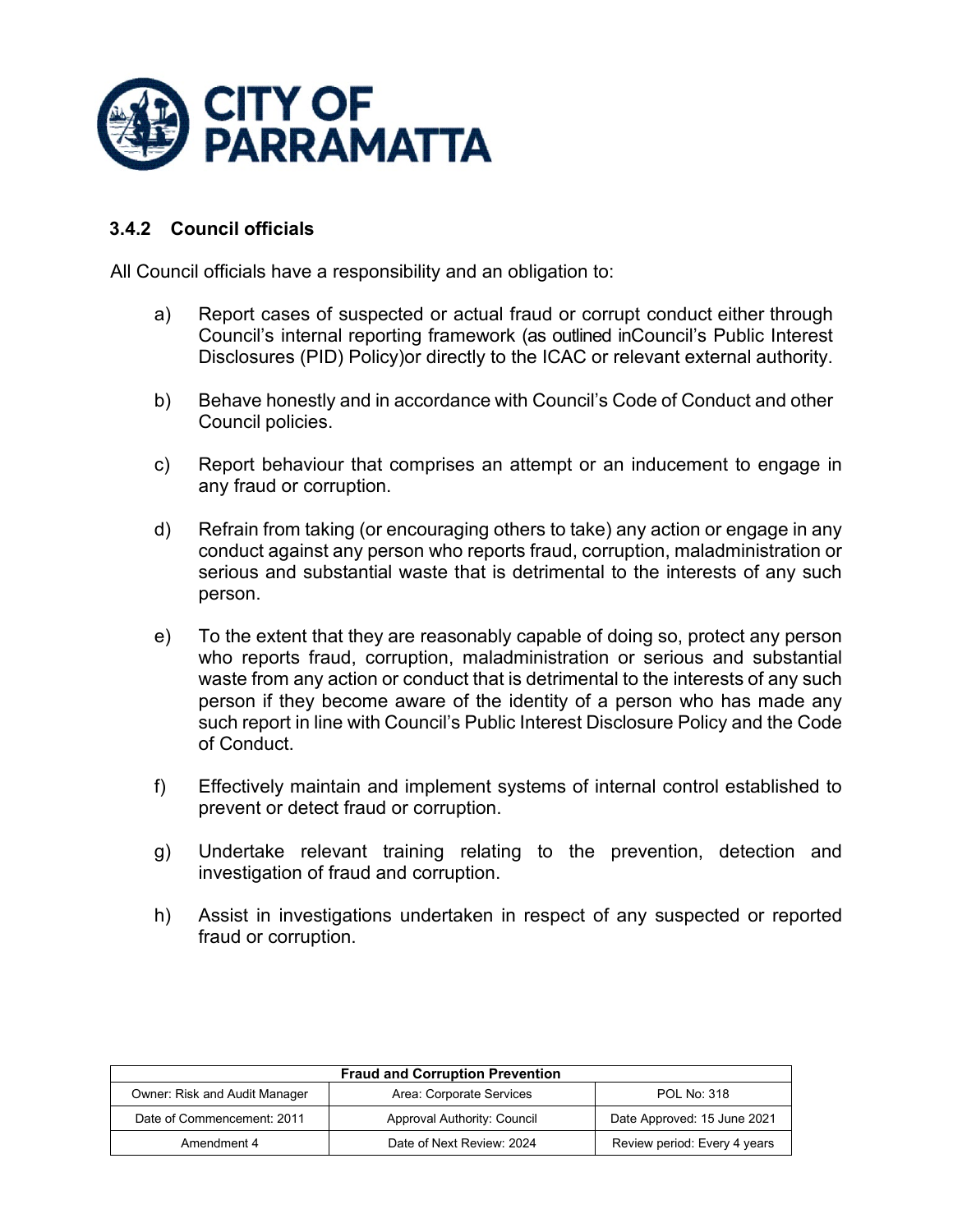

# **3.4.2 Council officials**

All Council officials have a responsibility and an obligation to:

- a) Report cases of suspected or actual fraud or corrupt conduct either through Council's internal reporting framework (as outlined inCouncil's Public Interest Disclosures (PID) Policy)or directly to the ICAC or relevant external authority.
- b) Behave honestly and in accordance with Council's Code of Conduct and other Council policies.
- c) Report behaviour that comprises an attempt or an inducement to engage in any fraud or corruption.
- d) Refrain from taking (or encouraging others to take) any action or engage in any conduct against any person who reports fraud, corruption, maladministration or serious and substantial waste that is detrimental to the interests of any such person.
- e) To the extent that they are reasonably capable of doing so, protect any person who reports fraud, corruption, maladministration or serious and substantial waste from any action or conduct that is detrimental to the interests of any such person if they become aware of the identity of a person who has made any such report in line with Council's Public Interest Disclosure Policy and the Code of Conduct.
- f) Effectively maintain and implement systems of internal control established to prevent or detect fraud or corruption.
- g) Undertake relevant training relating to the prevention, detection and investigation of fraud and corruption.
- h) Assist in investigations undertaken in respect of any suspected or reported fraud or corruption.

| <b>Fraud and Corruption Prevention</b> |                             |                              |
|----------------------------------------|-----------------------------|------------------------------|
| Owner: Risk and Audit Manager          | Area: Corporate Services    | <b>POL No: 318</b>           |
| Date of Commencement: 2011             | Approval Authority: Council | Date Approved: 15 June 2021  |
| Amendment 4                            | Date of Next Review: 2024   | Review period: Every 4 years |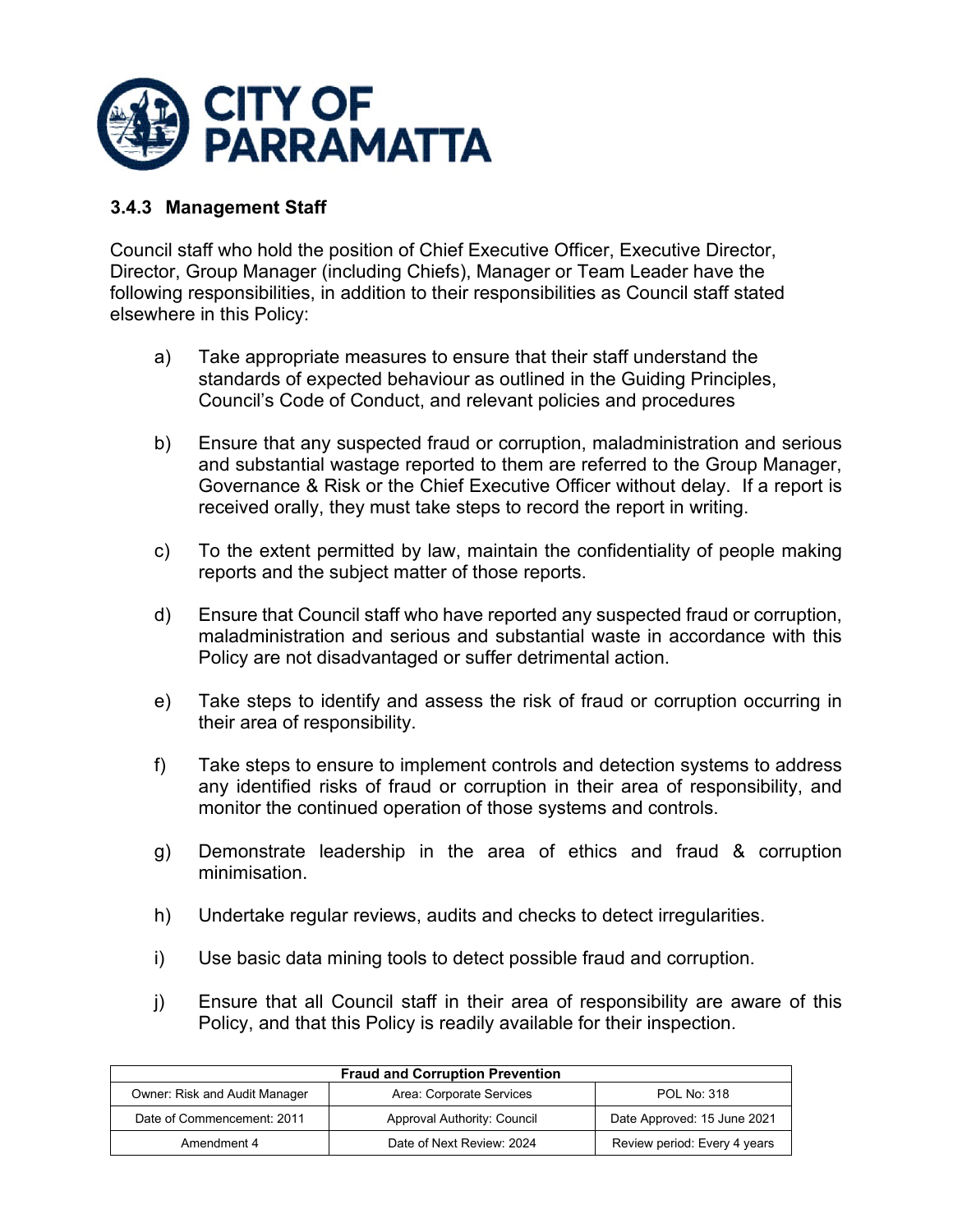

### **3.4.3 Management Staff**

Council staff who hold the position of Chief Executive Officer, Executive Director, Director, Group Manager (including Chiefs), Manager or Team Leader have the following responsibilities, in addition to their responsibilities as Council staff stated elsewhere in this Policy:

- a) Take appropriate measures to ensure that their staff understand the standards of expected behaviour as outlined in the Guiding Principles, Council's Code of Conduct, and relevant policies and procedures
- b) Ensure that any suspected fraud or corruption, maladministration and serious and substantial wastage reported to them are referred to the Group Manager, Governance & Risk or the Chief Executive Officer without delay. If a report is received orally, they must take steps to record the report in writing.
- c) To the extent permitted by law, maintain the confidentiality of people making reports and the subject matter of those reports.
- d) Ensure that Council staff who have reported any suspected fraud or corruption, maladministration and serious and substantial waste in accordance with this Policy are not disadvantaged or suffer detrimental action.
- e) Take steps to identify and assess the risk of fraud or corruption occurring in their area of responsibility.
- f) Take steps to ensure to implement controls and detection systems to address any identified risks of fraud or corruption in their area of responsibility, and monitor the continued operation of those systems and controls.
- g) Demonstrate leadership in the area of ethics and fraud & corruption minimisation.
- h) Undertake regular reviews, audits and checks to detect irregularities.
- i) Use basic data mining tools to detect possible fraud and corruption.
- j) Ensure that all Council staff in their area of responsibility are aware of this Policy, and that this Policy is readily available for their inspection.

| <b>Fraud and Corruption Prevention</b> |                             |                              |
|----------------------------------------|-----------------------------|------------------------------|
| <b>Owner: Risk and Audit Manager</b>   | Area: Corporate Services    | <b>POL No: 318</b>           |
| Date of Commencement: 2011             | Approval Authority: Council | Date Approved: 15 June 2021  |
| Amendment 4                            | Date of Next Review: 2024   | Review period: Every 4 years |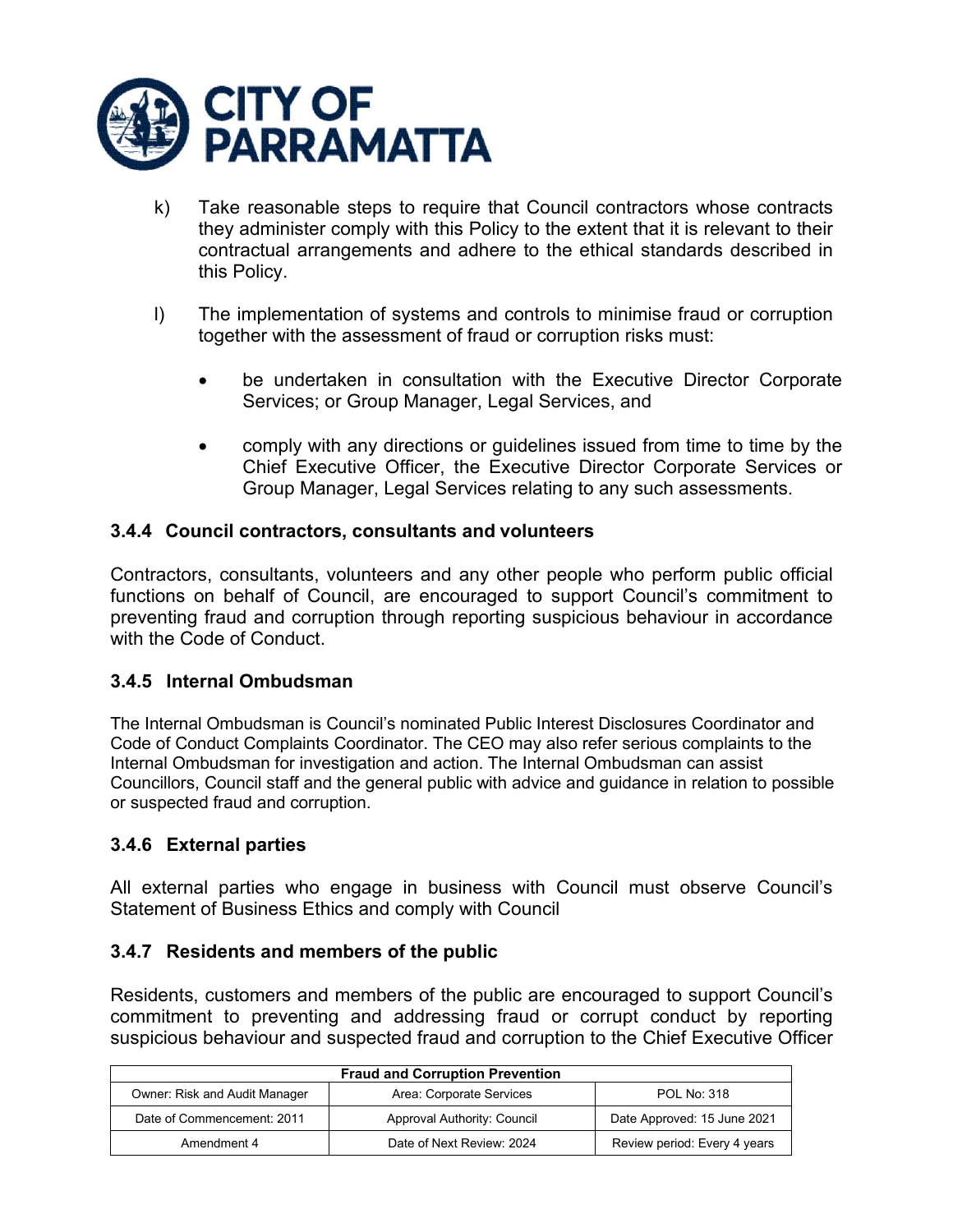

- k) Take reasonable steps to require that Council contractors whose contracts they administer comply with this Policy to the extent that it is relevant to their contractual arrangements and adhere to the ethical standards described in this Policy.
- l) The implementation of systems and controls to minimise fraud or corruption together with the assessment of fraud or corruption risks must:
	- be undertaken in consultation with the Executive Director Corporate Services; or Group Manager, Legal Services, and
	- comply with any directions or guidelines issued from time to time by the Chief Executive Officer, the Executive Director Corporate Services or Group Manager, Legal Services relating to any such assessments.

### **3.4.4 Council contractors, consultants and volunteers**

Contractors, consultants, volunteers and any other people who perform public official functions on behalf of Council, are encouraged to support Council's commitment to preventing fraud and corruption through reporting suspicious behaviour in accordance with the Code of Conduct.

### **3.4.5 Internal Ombudsman**

The Internal Ombudsman is Council's nominated Public Interest Disclosures Coordinator and Code of Conduct Complaints Coordinator. The CEO may also refer serious complaints to the Internal Ombudsman for investigation and action. The Internal Ombudsman can assist Councillors, Council staff and the general public with advice and guidance in relation to possible or suspected fraud and corruption.

### **3.4.6 External parties**

All external parties who engage in business with Council must observe Council's Statement of Business Ethics and comply with Council

### **3.4.7 Residents and members of the public**

Residents, customers and members of the public are encouraged to support Council's commitment to preventing and addressing fraud or corrupt conduct by reporting suspicious behaviour and suspected fraud and corruption to the Chief Executive Officer

| <b>Fraud and Corruption Prevention</b> |                             |                              |
|----------------------------------------|-----------------------------|------------------------------|
| <b>Owner: Risk and Audit Manager</b>   | Area: Corporate Services    | <b>POL No: 318</b>           |
| Date of Commencement: 2011             | Approval Authority: Council | Date Approved: 15 June 2021  |
| Amendment 4                            | Date of Next Review: 2024   | Review period: Every 4 years |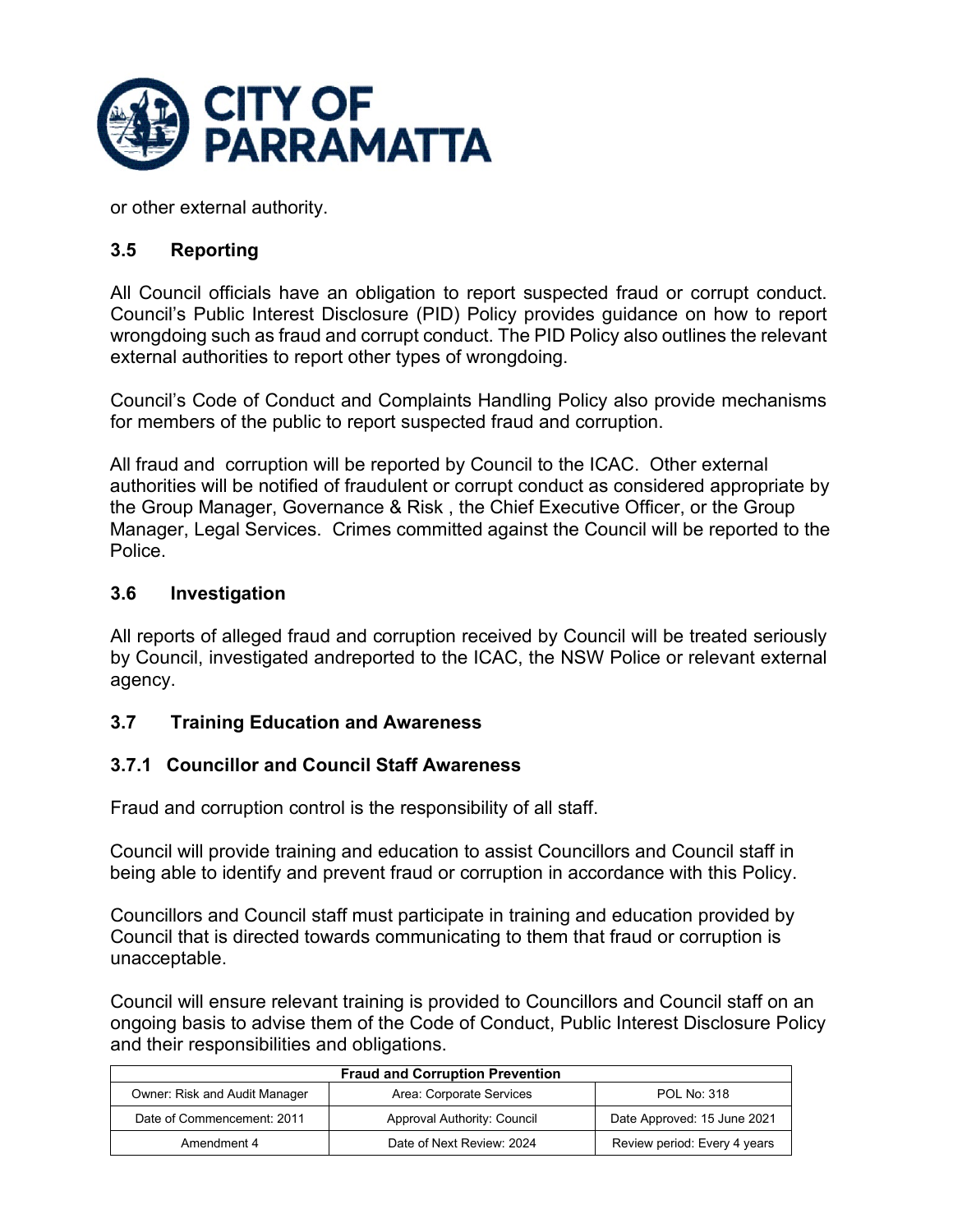

or other external authority.

### **3.5 Reporting**

All Council officials have an obligation to report suspected fraud or corrupt conduct. Council's Public Interest Disclosure (PID) Policy provides guidance on how to report wrongdoing such as fraud and corrupt conduct. The PID Policy also outlines the relevant external authorities to report other types of wrongdoing.

Council's Code of Conduct and Complaints Handling Policy also provide mechanisms for members of the public to report suspected fraud and corruption.

All fraud and corruption will be reported by Council to the ICAC. Other external authorities will be notified of fraudulent or corrupt conduct as considered appropriate by the Group Manager, Governance & Risk , the Chief Executive Officer, or the Group Manager, Legal Services. Crimes committed against the Council will be reported to the Police.

### **3.6 Investigation**

All reports of alleged fraud and corruption received by Council will be treated seriously by Council, investigated andreported to the ICAC, the NSW Police or relevant external agency.

### **3.7 Training Education and Awareness**

### **3.7.1 Councillor and Council Staff Awareness**

Fraud and corruption control is the responsibility of all staff.

Council will provide training and education to assist Councillors and Council staff in being able to identify and prevent fraud or corruption in accordance with this Policy.

Councillors and Council staff must participate in training and education provided by Council that is directed towards communicating to them that fraud or corruption is unacceptable.

Council will ensure relevant training is provided to Councillors and Council staff on an ongoing basis to advise them of the Code of Conduct, Public Interest Disclosure Policy and their responsibilities and obligations.

| <b>Fraud and Corruption Prevention</b> |                             |                              |
|----------------------------------------|-----------------------------|------------------------------|
| Owner: Risk and Audit Manager          | Area: Corporate Services    | <b>POL No: 318</b>           |
| Date of Commencement: 2011             | Approval Authority: Council | Date Approved: 15 June 2021  |
| Amendment 4                            | Date of Next Review: 2024   | Review period: Every 4 years |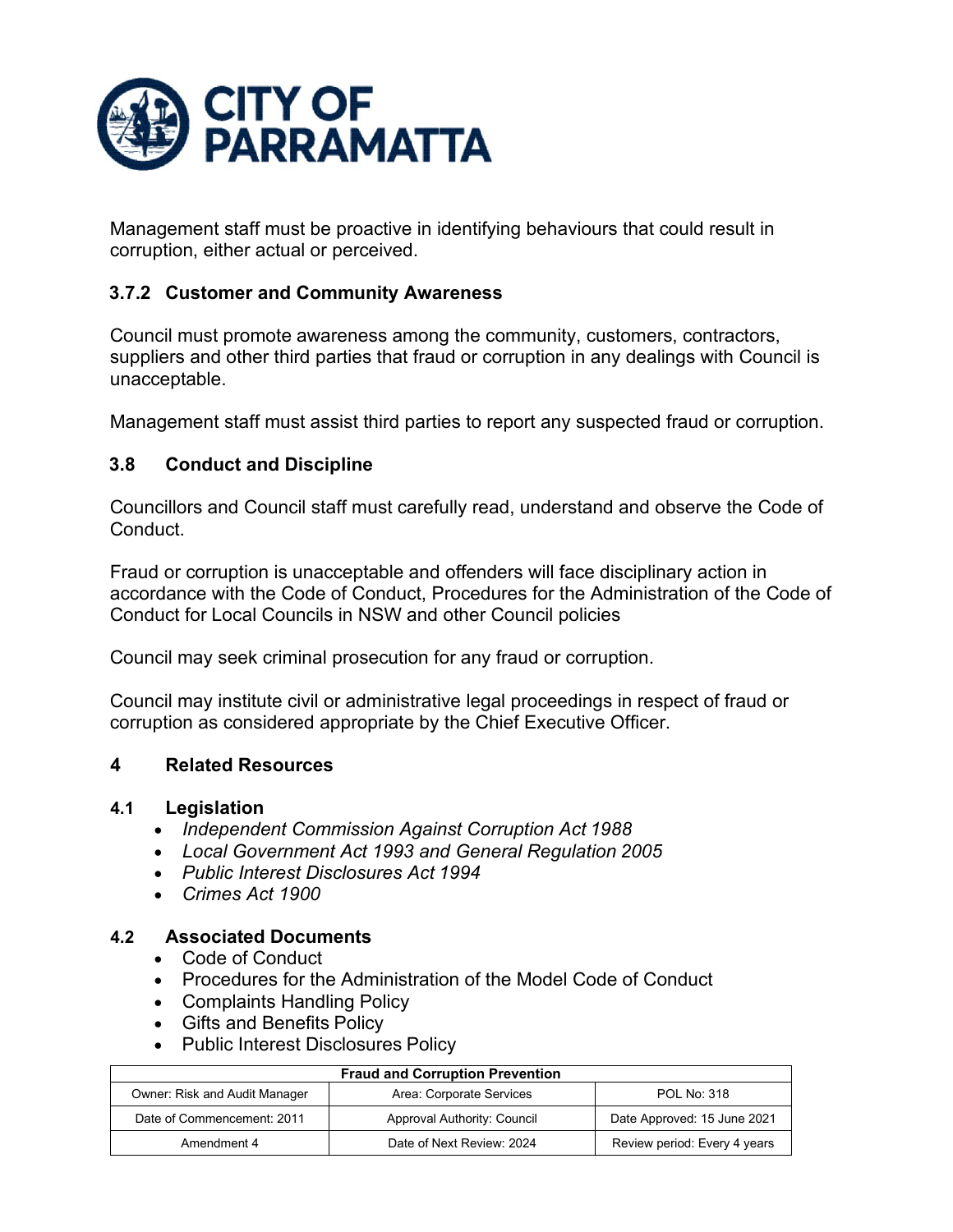

Management staff must be proactive in identifying behaviours that could result in corruption, either actual or perceived.

# **3.7.2 Customer and Community Awareness**

Council must promote awareness among the community, customers, contractors, suppliers and other third parties that fraud or corruption in any dealings with Council is unacceptable.

Management staff must assist third parties to report any suspected fraud or corruption.

# **3.8 Conduct and Discipline**

Councillors and Council staff must carefully read, understand and observe the Code of Conduct.

Fraud or corruption is unacceptable and offenders will face disciplinary action in accordance with the Code of Conduct, Procedures for the Administration of the Code of Conduct for Local Councils in NSW and other Council policies

Council may seek criminal prosecution for any fraud or corruption.

Council may institute civil or administrative legal proceedings in respect of fraud or corruption as considered appropriate by the Chief Executive Officer.

### **4 Related Resources**

### **4.1 Legislation**

- *Independent Commission Against Corruption Act 1988*
- *Local Government Act 1993 and General Regulation 2005*
- *Public Interest Disclosures Act 1994*
- *Crimes Act 1900*

### **4.2 Associated Documents**

- Code of Conduct
- Procedures for the Administration of the Model Code of Conduct
- Complaints Handling Policy
- Gifts and Benefits Policy
- Public Interest Disclosures Policy

| <b>Fraud and Corruption Prevention</b> |                             |                              |
|----------------------------------------|-----------------------------|------------------------------|
| Owner: Risk and Audit Manager          | Area: Corporate Services    | <b>POL No: 318</b>           |
| Date of Commencement: 2011             | Approval Authority: Council | Date Approved: 15 June 2021  |
| Amendment 4                            | Date of Next Review: 2024   | Review period: Every 4 years |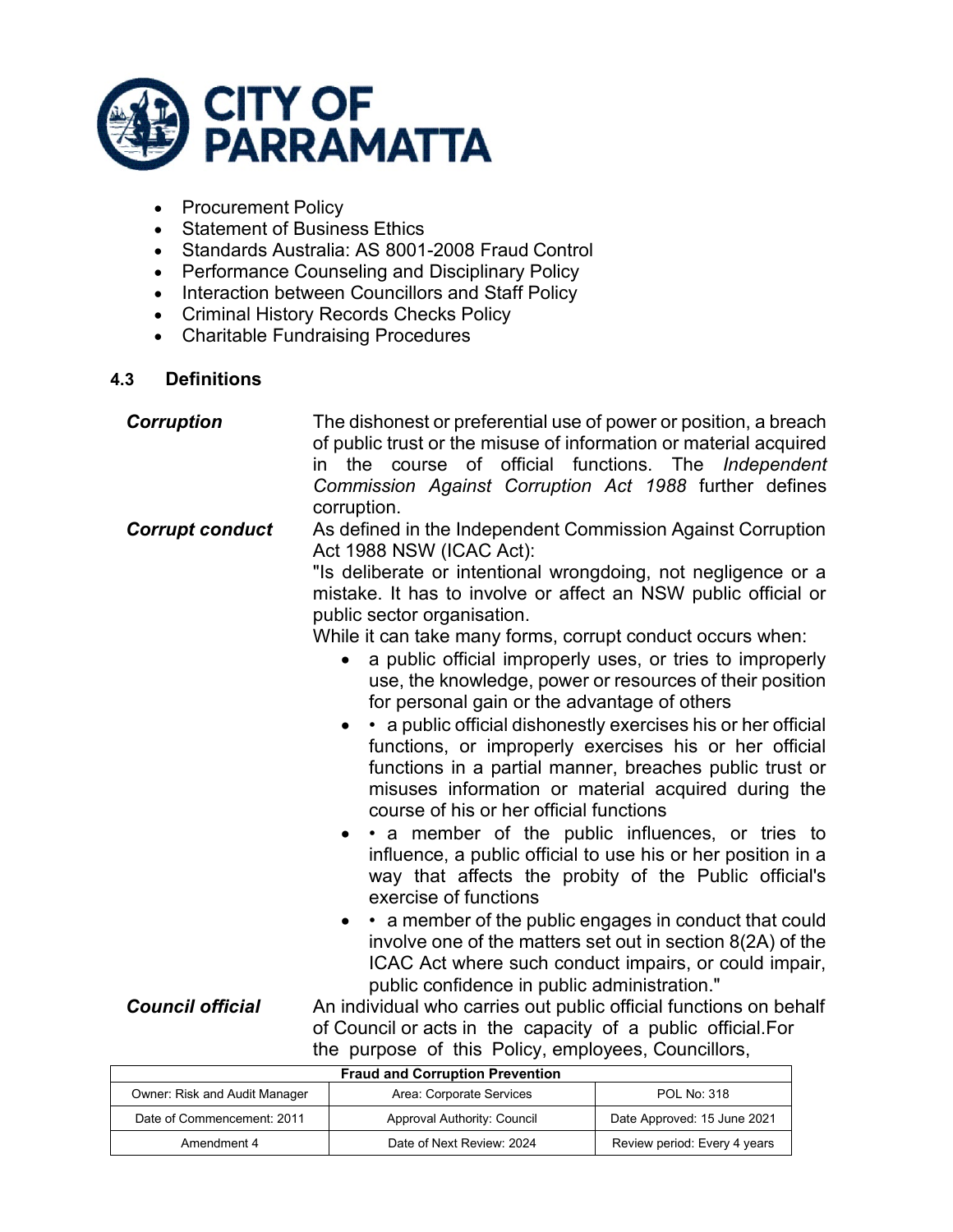

- Procurement Policy
- Statement of Business Ethics
- Standards Australia: AS 8001-2008 Fraud Control
- Performance Counseling and Disciplinary Policy
- Interaction between Councillors and Staff Policy
- Criminal History Records Checks Policy
- Charitable Fundraising Procedures

### **4.3 Definitions**

| <b>Corruption</b>       | The dishonest or preferential use of power or position, a breach<br>of public trust or the misuse of information or material acquired<br>in the course of official functions. The Independent<br>Commission Against Corruption Act 1988 further defines<br>corruption.                                                                                                                                                                                                                                                                                                                                                                                                                                                                                                                                                                                                                                                                                                                                                                                                                                                                                                                         |
|-------------------------|------------------------------------------------------------------------------------------------------------------------------------------------------------------------------------------------------------------------------------------------------------------------------------------------------------------------------------------------------------------------------------------------------------------------------------------------------------------------------------------------------------------------------------------------------------------------------------------------------------------------------------------------------------------------------------------------------------------------------------------------------------------------------------------------------------------------------------------------------------------------------------------------------------------------------------------------------------------------------------------------------------------------------------------------------------------------------------------------------------------------------------------------------------------------------------------------|
| <b>Corrupt conduct</b>  | As defined in the Independent Commission Against Corruption<br>Act 1988 NSW (ICAC Act):<br>"Is deliberate or intentional wrongdoing, not negligence or a<br>mistake. It has to involve or affect an NSW public official or<br>public sector organisation.<br>While it can take many forms, corrupt conduct occurs when:<br>a public official improperly uses, or tries to improperly<br>use, the knowledge, power or resources of their position<br>for personal gain or the advantage of others<br>• a public official dishonestly exercises his or her official<br>functions, or improperly exercises his or her official<br>functions in a partial manner, breaches public trust or<br>misuses information or material acquired during the<br>course of his or her official functions<br>• • a member of the public influences, or tries to<br>influence, a public official to use his or her position in a<br>way that affects the probity of the Public official's<br>exercise of functions<br>• a member of the public engages in conduct that could<br>$\bullet$<br>involve one of the matters set out in section 8(2A) of the<br>ICAC Act where such conduct impairs, or could impair, |
| <b>Council official</b> | public confidence in public administration."<br>An individual who carries out public official functions on behalf                                                                                                                                                                                                                                                                                                                                                                                                                                                                                                                                                                                                                                                                                                                                                                                                                                                                                                                                                                                                                                                                              |

of Council or acts in the capacity of a public official.For the purpose of this Policy, employees, Councillors,

| <b>Fraud and Corruption Prevention</b> |                             |                              |
|----------------------------------------|-----------------------------|------------------------------|
| Owner: Risk and Audit Manager          | Area: Corporate Services    | <b>POL No: 318</b>           |
| Date of Commencement: 2011             | Approval Authority: Council | Date Approved: 15 June 2021  |
| Amendment 4                            | Date of Next Review: 2024   | Review period: Every 4 years |